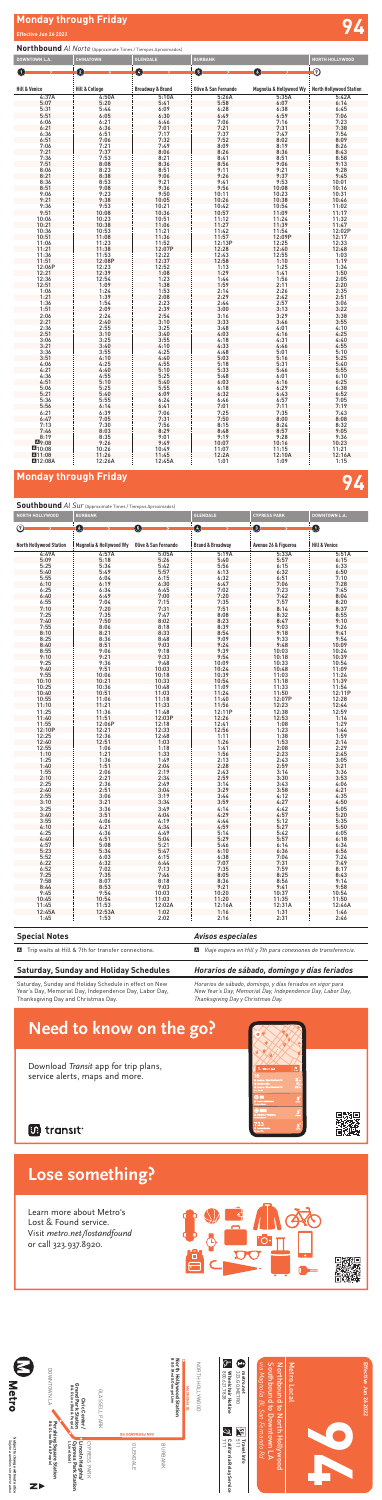# **Monday through Friday Effective Jun 26 2022 94**

### **Special Notes**

A Trip waits at Hill & 7th for transfer connections.

*Avisos especiales*

A *Viaje espera en Hill y 7th para conexiones de transferencia.*

*Horarios de sábado, domingo y días feriados*

*Horarios de sábado, domingo, y días feriados en vigor para New Year's Day, Memorial Day, Independence Day, Labor Day, Thanksgiving Day y Christmas Day.*

### **Saturday, Sunday and Holiday Schedules**

Saturday, Sunday and Holiday Schedule in effect on New Year's Day, Memorial Day, Independence Day, Labor Day, Thanksgiving Day and Christmas Day.

### **Northbound** *Al Norte* (Approximate Times / Tiempos Aproximados)

### мдемомід ві.<br>North Hollywood Station<br>в & e iRed & Orangel Line **B & G (Red & Orange) Line North Hollywood Station** NORTH HOLLYWOOD Effective Jun 26 2022 NORTH HOLLYWOOD *via Magnolia Bl, San Fernando Rd* Southbound to Downtown LA **Effective Jun 26 2022** Northbound to North Hollywood North Hollywood Pershing Square 800.621.7828 **Wheelchair Hotline** 323.GO.METRO **metro.net** Wilshire / Western Station Pershing Square  $|\vec{v}|$   $\sigma$   $\sigma$   $|$   $\mu$ **MAGNONIA BL 94** 旨  $\begin{bmatrix} 1 & 0 & 0 \\ 0 & 0 & 0 \\ 0 & 0 & 0 \end{bmatrix}$ 71<br>71 **C Travel Info alifornia Relay** service alerts, maps and more. **Service**

### **Southbound** *Al Sur* (Approximate Times / Tiempos Aproximados)



| <b>DOWNTOWN L.A.</b>     | CHINATOWN                  | <b>GLENDALE</b>             | <b>BURBANK</b>       |                         | NORTH HOLLYWOOD                |
|--------------------------|----------------------------|-----------------------------|----------------------|-------------------------|--------------------------------|
| $\blacksquare$           | 2                          | Ø                           | O)                   | O                       | ℗                              |
|                          |                            |                             |                      |                         |                                |
| <b>Hill &amp; Venice</b> | Hill & College             | <b>Broadway &amp; Brand</b> | Olive & San Fernando | Magnolia & Hollywood Wy | <b>North Hollywood Station</b> |
| 4:37A                    | 4:50A                      | 5:10A                       | 5:26A                | 5:35A                   | 5:42A                          |
| 5:07                     | 5:20                       | 5:41                        | 5:58                 | 6:07                    | 6:14                           |
| 5:31                     | 5:44                       | 6:09                        | 6:28                 | 6:38                    | 6:45                           |
| 5:51                     | 6:05                       | 6:30                        | 6:49                 | 6:59                    | 7:06                           |
| 6:06                     | 6:21                       | 6:46                        | 7:06                 | 7:16                    | 7:23                           |
| 6:21                     | 6:36                       | 7:01                        | $7:21$<br>$7:37$     | 7:31                    | 7:38                           |
| 6:36                     | 6:51                       | 7:17                        |                      | 7:47                    | 7:54                           |
| 6:51                     | 7:06                       | 7:32                        | 7:52                 | 8:02                    | 8:09                           |
|                          | $7:21$<br>$7:37$           | 7:49                        | $8:09$<br>$8:26$     | 8:19                    | 8:26                           |
| 7:06<br>7:21             |                            | 8:06                        |                      | 8:36                    | 8:43                           |
| 7:36                     | 7:53                       | 8:21                        | 8:41                 | 8:51                    | 8:58                           |
| 7:51                     | 8:08                       | 8:36                        | 8:56                 | 9:06                    | 9:13                           |
| 8:06                     | 8:23                       | 8:51                        | 9:11                 | 9:21                    | 9:28                           |
| 8:21                     | 8:38                       | 9:06                        | 9:26                 | 9:37                    | 9:45                           |
| 8:36                     | 8:53                       | 9:21                        | 9:41                 |                         | 10:01                          |
| 8:51                     | 9:08                       | 9:36                        | 9:56                 | $9:53$<br>10:08         | 10:16                          |
| 9:06                     | 9:23                       | 9:50                        | 10:11                | 10:23                   | 10:31                          |
| 9:21                     | 9:38                       | 10:05                       | 10:26                | 10:38                   | 10:46                          |
| 9:36                     | 9:53                       | 10:21                       | 10:42                | 10:54                   | 11:02                          |
| 9:51                     | 10:08                      | 10:36                       | 10:57                | 11:09                   | 11:17                          |
|                          | 10:23                      | 10:51                       | 11:12                | 11:24                   | 11:32                          |
| 10:06<br>10:21           | 10:38                      | 11:06                       | 11:27                | 11:39                   | 11:47                          |
| 10:36                    | 10:53                      | 11:21                       | 11:42                | 11:54                   | 12:02P                         |
| 10:51                    | 11:08                      | 11:36                       | 11:57                | 12:09P                  | 12:17                          |
| 11:06                    | 11:23                      | 11:52                       | 12:13P               | 12:25                   | 12:33                          |
| 11:21                    | 11:38                      | 12:07P                      | 12:28                | 12:40                   | 12:48                          |
| 11:36                    | 11:53                      |                             | 12:43                | 12:55                   | 1:03                           |
| 11:51                    | 12:08P                     | 12:22<br>12:37              | 12:58                | 1:10                    | 1:19                           |
| 12:06P                   | 12:23                      | 12:52                       | 1:13                 | 1:25                    | 1:34                           |
| 12:21                    | 12:39                      | 1:08                        | 1:29                 | 1:41                    | 1:50                           |
| 12:36                    | 12:54                      | 1:23                        | 1:44                 | 1:56                    | 2:05                           |
| 12:51                    | 1:09                       | 1:38                        | 1:59                 | 2:11                    | 2:20                           |
| 1:06                     |                            | 1:53                        |                      | 2:26                    |                                |
| 1:21                     | $1:24$<br>$1:39$           | 2:08                        | $2:14$<br>$2:29$     | 2:42                    | $2:35$<br>$2:51$               |
| 1:36                     | 1:54                       | 2:23                        | 2:44                 | 2:57                    | 3:06                           |
| 1:51                     | 2:09                       | 2:39                        | 3:00                 | 3:13                    | 3:22                           |
| 2:06                     | 2:24                       | 2:54                        | 3:16                 | 3:29                    | 3:38                           |
| 2:21                     | 2:40                       | 3:10                        | 3:33                 | 3:46                    | 3:55                           |
| 2:36                     |                            | 3:25                        | 3:48                 | 4:01                    | 4:10                           |
| 2:51                     | $2:55$<br>$3:10$           | 3:40                        | 4:03                 | 4:16                    | 4:25                           |
| 3:06                     | 3:25                       | 3:55                        | 4:18                 | 4:31                    | 4:40                           |
| 3:21                     | 3:40                       | 4:10                        | 4:33                 | 4:46                    | 4:55                           |
| 3:36                     | 3:55                       | 4:25                        | 4:48                 | 5:01                    | 5:10                           |
| 3:51                     | 4:10                       | 4:40                        | 5:03                 | 5:16                    | 5:25                           |
| 4:06                     | 4:25                       | 4:55                        | 5:18                 | 5:31                    | 5:40                           |
| 4:21                     | 4:40                       | 5:10                        | 5:33                 | 5:46                    | 5:55                           |
| 4:36                     | 4:55                       | 5:25                        | 5:48                 | 6:01                    | 6:10                           |
| 4:51                     | 5:10                       | 5:40                        | 6:03                 | 6:16                    | 6:25                           |
| 5:06                     | 5:25                       | 5:55                        | 6:18                 | 6:29                    | 6:38                           |
| 5:21                     | 5:40                       | 6:09                        | 6:32                 | 6:43                    | 6:52                           |
| 5:36                     | 5:55                       | 6:24                        | 6:46                 | 6:57                    | 7:05                           |
| 5:56                     | 6:14                       | 6:41                        | 7:01                 | 7:11                    | 7:19                           |
| 6:21                     |                            | 7:06                        | 7:25                 | 7:35                    | 7:43                           |
| 6:47                     | $6:39$<br>$7:05$<br>$7:30$ | 7:31                        | 7:50                 | 8:00                    | 8:08                           |
| 7:13                     |                            | 7:56                        | 8:15                 | 8:24                    | 8:32                           |
| 7:46                     | 8:03                       | 8:29                        | 8:48                 | 8:57                    | 9:05                           |
|                          | 8:35                       | 9:01                        | 9:19                 | 9:28                    | 9:36                           |
| $8:19$<br>$19:08$        | 9:26                       | 9:49                        | 10:07                | 10:16                   | 10:23                          |
| ■10:08                   | 10:26                      | 10:49                       | 11:07                | 11:15                   | 11:21                          |
| A11:08                   | 11:26                      | 11:45                       | 12:2A                | 12:10A                  | 12:16A                         |
| <b>A12:08A</b>           | 12:26A                     | 12:45A                      | 1:01                 | 1:09                    | 1:15                           |
|                          |                            |                             |                      |                         |                                |

### **Monday through Friday**

## **Need to know the go? Lose something?**

Learn more about Metro's<br>. Lost & Found service.<br>..... Visit metro.net/lostandfound or call 323.937.8920.

9:55 10:06 10:18 10:39 11:03 11:24

| <b>NORTH HOLLYWOOD</b>         | <b>BURBANK</b>          |                       | <b>GLENDALE</b>             | <b>CYPRESS PARK</b>  | <b>DOWNTOWN L.A.</b>     |
|--------------------------------|-------------------------|-----------------------|-----------------------------|----------------------|--------------------------|
| (7)                            | $\boldsymbol{c}$        | $\boldsymbol{\Theta}$ | $\bullet$                   | ➊                    | $\bf{0}$                 |
|                                |                         |                       |                             |                      |                          |
| <b>North Hollywood Station</b> | Magnolia & Hollywood Wy | Olive & San Fernando  | <b>Brand &amp; Broadway</b> | Avenue 26 & Figueroa | <b>Hill &amp; Venice</b> |
| 4:49A                          | 4:57A                   | 5:05A                 | 5:19A                       | 5:33A                | 5:51A                    |
| 5:09                           | 5:18                    | 5:26                  | 5:40                        | 5:57                 | 6:15                     |
| 5:25                           | 5:34                    | 5:42                  | 5:56                        | 6:15                 | 6:33                     |
| 5:40                           | 5:49                    | 5:57                  | 6:13                        | 6:32                 | 6:50                     |
| 5:55                           | 6:04                    | 6:15                  | 6:32                        | 6:51                 | 7:10                     |
| 6:10                           | 6:19                    | 6:30                  | 6:47                        | 7:06                 | 7:28                     |
| 6:25                           | 6:34                    | 6:45                  | 7:02                        | 7:23                 | 7:45                     |
| 6:40                           | 6:49                    | 7:00                  | 7:20                        | 7:42                 | 8:04                     |
| 6:55                           | 7:04                    | 7:15                  | 7:35                        | 7:57                 | 8:20                     |
| 7:10                           | 7:20                    | 7:31                  | 7:51                        | 8:14                 | 8:37                     |
| 7:25                           | 7:35                    | 7:47                  | 8:08                        | 8:32                 | 8:55                     |
| 7:40                           | 7:50                    | 8:02                  | 8:23                        | 8:47                 | 9:10                     |
| 7:55                           | 8:06                    | 8:18                  | 8:39                        | 9:03                 | 9:26                     |
| 8:10                           | 8:21                    | 8:33                  | 8:54                        | 9:18                 | 9:41                     |
| 8:25                           | 8:36                    | 8:48                  | 9:09                        | 9:33                 | 9:54                     |
| 8:40                           | 8:51                    | 9:03                  | 9:24                        | 9:48                 | 10:09                    |
| 8:55                           | 9:06                    | 9:18                  | 9:39                        | 10:03                | 10:24                    |
| 9:10                           | 9:21                    | 9:33                  | 9:54                        | 10:18                | 10:39                    |
| 9:25                           | 9:36                    | 9:48                  | 10:09                       | 10:33                | 10:54                    |
| 9:40                           | 9:51                    | 10:03                 | 10:24                       | 10:48                | 11:09                    |

| 10:10              | 10:21  | 10:33              | 10:54  | 11:18  | 11:39  |
|--------------------|--------|--------------------|--------|--------|--------|
| 10:25              | 10:36  | 10:48              | 11:09  | 11:33  | 11:54  |
| 10:40              | 10:51  | 11:03              | 11:24  | 11:50  | 12:11P |
| 10:55              | 11:06  | 11:18              | 11:40  | 12:07P | 12:28  |
| 11:10              | 11:21  | 11:33              | 11:56  | 12:23  | 12:44  |
| 11:25              | 11:36  | 11:48              | 12:11P | 12:38  | 12:59  |
|                    | 11:51  | 12:03P             | 12:26  | 12:53  | 1:14   |
| $11:40$<br>$11:55$ | 12:06P |                    | 12:41  | 1:08   | 1:29   |
| 12:10P             | 12:21  | $12:18$<br>$12:33$ | 12:56  | 1:23   | 1:44   |
| 12:25              | 12:36  | 12:48              | 1:11   | 1:38   | 1:59   |
| 12:40              | 12:51  | 1:03               | 1:26   | 1:53   | 2:14   |
| 12:55              | 1:06   | 1:18               | 1:41   | 2:08   | 2:29   |
| 1:10               | 1:21   | 1:33               | 1:56   | 2:23   | 2:45   |
| 1:25               | 1:36   | 1:49               | 2:13   | 2:43   | 3:05   |
| 1:40               | 1:51   | 2:04               | 2:28   | 2:59   | 3:21   |
| 1:55               | 2:06   | 2:19               | 2:43   | 3:14   | 3:36   |
| 2:10               | 2:21   | 2:34               | 2:59   | 3:30   | 3:53   |
| 2:25               | 2:36   | 2:49               | 3:14   | 3:43   | 4:06   |
| 2:40               | 2:51   | 3:04               | 3:29   | 3:58   | 4:21   |
| 2:55               | 3:06   | 3:19               | 3:44   | 4:12   | 4:35   |
| 3:10               | 3:21   | 3:34               | 3:59   | 4:27   | 4:50   |
| 3:25               | 3:36   | 3:49               | 4:14   | 4:42   | 5:05   |
| 3:40               | 3:51   | 4:04               | 4:29   | 4:57   | 5:20   |
| 3:55               | 4:06   | 4:19               | 4:44   | 5:12   | 5:35   |
| 4:10               | 4:21   | 4:34               | 4:59   | 5:27   | 5:50   |
| 4:25               | 4:36   | 4:49               | 5:14   | 5:42   | 6:05   |
| 4:40               | 4:51   | 5:04               | 5:29   | 5:57   | 6:18   |
| 4:57               | 5:08   | 5:21               | 5:46   | 6:14   | 6:34   |
| 5:23               | 5:34   | 5:47               | 6:10   | 6:36   | 6:56   |
| 5:52               | 6:03   | 6:15               | 6:38   | 7:04   | 7:24   |
| 6:22               | 6:32   | 6:44               | 7:07   | 7:31   | 7:49   |
| $6:52$<br>7:25     | 7:02   | 7:13               | 7:35   | 7:59   | 8:17   |
|                    | 7:35   | 7:46               | 8:05   | 8:25   | 8:43   |
| 7:58               | 8:07   | 8:18               | 8:36   | 8:56   | 9:14   |
| 8:44               | 8:53   | 9:03               | 9:21   | 9:41   | 9:58   |
| 9:45               | 9:54   | 10:03              | 10:20  | 10:37  | 10:54  |
| 10:45              | 10:54  | 11:03              | 11:20  | 11:35  | 11:50  |
| 11:45              | 11:53  | 12:02A             | 12:16A | 12:31A | 12:46A |
| 12:45A             | 12:53A | 1:02               | 1:16   | 1:31   | 1:46   |
| 1:45               | 1:53   | 2:02               | 2:16   | 2:31   | 2:46   |







## **in** transit



# **Need to know on the go?**

Download Transit app for trip plans, service alerts, maps and more.



Learn more about Metro's Lost & Found